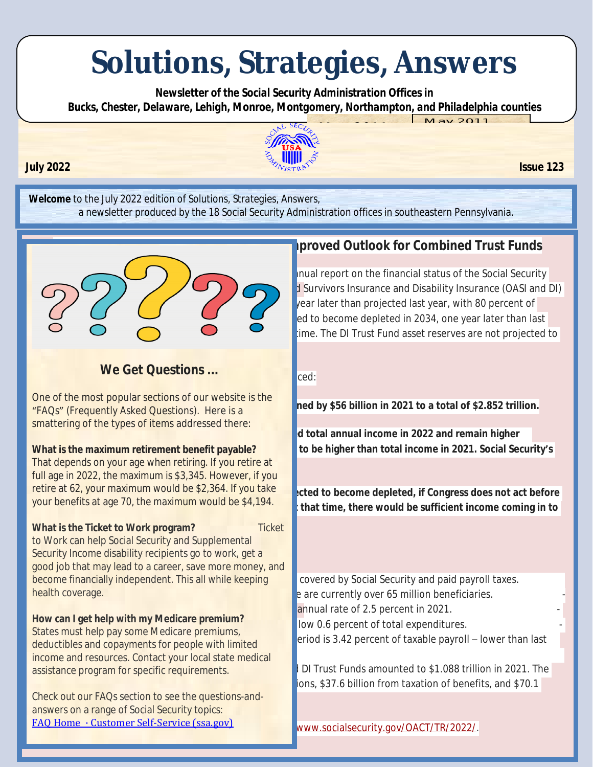# **Solutions, Strategies, Answers**

 *Newsletter of the Social Security Administration Offices in Bucks, Chester, Delaware, Lehigh, Monroe, Montgomery, Northampton, and Philadelphia counties*  $M$ ay 2011



**Welcome** to the July 2022 edition of *Solutions, Strategies, Answers*, a newsletter produced by the 18 Social Security Administration offices in southeastern Pennsylvania.



#### In the 2022 Annual Report to Congress, the Trustees and Trustees and Trustees and Trustees and Trustees and Trustees and Trustees and Trustees and Trustees and Trustees and Trustees and Trustees and Trustees and Trustees a **We Get Questions ...**

One of the most popular sections of our website is the "FAQs" (Frequently Asked Questions). Here is a smattering of the types of items addressed there:

### **What is the maximum retirement benefit payable?**

**cost has exceeded its non-interest income since 2010.** That depends on your age when retiring. If you retire at full age in 2022, the maximum is \$3,345. However, if you retire at 62, your maximum would be \$2,364. If you take your benefits at age 70, the maximum would be \$4,194.

**1800 What is the Ticket to Work program? Discretively belief** 

Security Income disability recipients go to work, get a become financially independent. This all while keeping covered by Social Security and paid payroll taxes. to Work can help Social Security and Supplemental good job that may lead to a career, save more money, and health coverage.

income and resources. Contact your local state medical **How can I get help with my Medicare premium?** States must help pay some Medicare premiums, deductibles and copayments for people with limited

Check out our FAQs section to see the questions-andanswers on a range of Social Security topics: [FAQ Home · Customer Self-Service \(ssa.gov\)](https://faq.ssa.gov/en-US/)

## **I Rogerty Reports Propertises Funds Reports EUM EUM EUM EUM EUM CONDE**

Inual report on the financial status of the Social Security d Survivors Insurance and Disability Insurance (OASI and DI)  $\sqrt{2}$  ear later than projected last year, with 80 percent of ed to become depleted in 2034, one year later than last ime. The DI Trust Fund asset reserves are not projected to

ned by \$56 billion in 2021 to a total of \$2.852 trillion.

d total annual income in 2022 and remain higher to be higher than total income in 2021. Social Security's

cted to become depleted, if Congress does not act before that time, there would be sufficient income coming in to

e are currently over 65 million beneficiaries.

annual rate of 2.5 percent in 2021.

low 0.6 percent of total expenditures.

eriod is 3.42 percent of taxable payroll – lower than last

assistance program for specific requirements. The combined OASI and DI Trust Funds amounted to \$1.088 trillion in 2021. The breaksum. \$37.6 billion from taxation of benefits, and \$70.1

[www.socialsecurity.gov/OACT/TR/2022/](https://www.ssa.gov/OACT/TR/2022/).